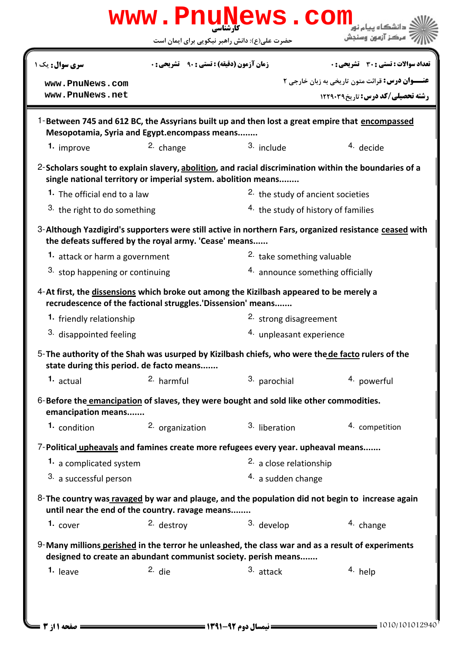|                                                                     | حضرت علی(ع): دانش راهبر نیکویی برای ایمان است                                                                                                          |                                                                | مركز آزمون وسنجش                                                                                       |  |  |
|---------------------------------------------------------------------|--------------------------------------------------------------------------------------------------------------------------------------------------------|----------------------------------------------------------------|--------------------------------------------------------------------------------------------------------|--|--|
| سری سوال: یک ۱<br><b>زمان آزمون (دقیقه) : تستی : ۹۰٪ تشریحی : 0</b> |                                                                                                                                                        |                                                                | تعداد سوالات : تستي : 30 ٪ تشريحي : 0                                                                  |  |  |
| www.PnuNews.com                                                     |                                                                                                                                                        |                                                                | <b>عنـــوان درس:</b> قرائت متون تاریخی به زبان خارجی ۲                                                 |  |  |
| www.PnuNews.net                                                     |                                                                                                                                                        |                                                                | <b>رشته تحصیلی/کد درس: تاریخ1229.3 1</b>                                                               |  |  |
|                                                                     | 1-Between 745 and 612 BC, the Assyrians built up and then lost a great empire that encompassed<br>Mesopotamia, Syria and Egypt.encompass means         |                                                                |                                                                                                        |  |  |
| 1. improve                                                          | <sup>2.</sup> change                                                                                                                                   | 3. include                                                     | <sup>4.</sup> decide                                                                                   |  |  |
|                                                                     | single national territory or imperial system. abolition means                                                                                          |                                                                | 2-Scholars sought to explain slavery, abolition, and racial discrimination within the boundaries of a  |  |  |
| 1. The official end to a law                                        |                                                                                                                                                        |                                                                | <sup>2.</sup> the study of ancient societies                                                           |  |  |
| 3. the right to do something                                        |                                                                                                                                                        | <sup>4.</sup> the study of history of families                 |                                                                                                        |  |  |
|                                                                     | the defeats suffered by the royal army. 'Cease' means                                                                                                  |                                                                | 3-Although Yazdigird's supporters were still active in northern Fars, organized resistance ceased with |  |  |
| 1. attack or harm a government                                      |                                                                                                                                                        |                                                                | 2. take something valuable                                                                             |  |  |
| 3. stop happening or continuing                                     |                                                                                                                                                        |                                                                | 4. announce something officially                                                                       |  |  |
|                                                                     | 4-At first, the dissensions which broke out among the Kizilbash appeared to be merely a<br>recrudescence of the factional struggles.'Dissension' means |                                                                |                                                                                                        |  |  |
| <sup>1</sup> friendly relationship                                  |                                                                                                                                                        | 2. strong disagreement                                         |                                                                                                        |  |  |
| 3. disappointed feeling                                             |                                                                                                                                                        | 4. unpleasant experience                                       |                                                                                                        |  |  |
|                                                                     | 5-The authority of the Shah was usurped by Kizilbash chiefs, who were thede facto rulers of the<br>state during this period. de facto means            |                                                                |                                                                                                        |  |  |
| $1.$ actual                                                         | 2. harmful                                                                                                                                             | 3. parochial                                                   | 4. powerful                                                                                            |  |  |
| emancipation means                                                  | 6-Before the emancipation of slaves, they were bought and sold like other commodities.                                                                 |                                                                |                                                                                                        |  |  |
| 1. condition                                                        | 2. organization                                                                                                                                        | 3. liberation                                                  | 4. competition                                                                                         |  |  |
|                                                                     | 7-Political upheavals and famines create more refugees every year. upheaval means                                                                      |                                                                |                                                                                                        |  |  |
| 1. a complicated system                                             |                                                                                                                                                        | 2. a close relationship                                        |                                                                                                        |  |  |
| 3. a successful person                                              |                                                                                                                                                        |                                                                | 4. a sudden change                                                                                     |  |  |
|                                                                     | until near the end of the country. ravage means                                                                                                        |                                                                | 8- The country was ravaged by war and plauge, and the population did not begin to increase again       |  |  |
| 1. $cover$                                                          | 2. destroy                                                                                                                                             | 3. develop                                                     | 4. change                                                                                              |  |  |
|                                                                     | 9-Many millions perished in the terror he unleashed, the class war and as a result of experiments                                                      | designed to create an abundant communist society. perish means |                                                                                                        |  |  |
|                                                                     |                                                                                                                                                        |                                                                |                                                                                                        |  |  |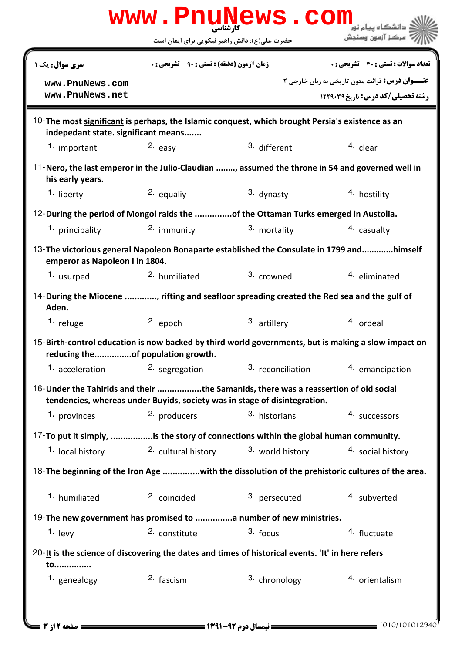|                                                                                                                                         |                                                   | www.PnuNews.com                                                           |                                                                                            |
|-----------------------------------------------------------------------------------------------------------------------------------------|---------------------------------------------------|---------------------------------------------------------------------------|--------------------------------------------------------------------------------------------|
|                                                                                                                                         | حضرت علی(ع): دانش راهبر نیکویی برای ایمان است     |                                                                           | مركز آزمون وسنجش                                                                           |
| <b>سری سوال :</b> یک ۱                                                                                                                  | <b>زمان آزمون (دقیقه) : تستی : ۹۰٪ تشریحی : 0</b> |                                                                           | <b>تعداد سوالات : تستي : 30 ٪ تشريحي : 0</b>                                               |
| www.PnuNews.com<br>www.PnuNews.net                                                                                                      |                                                   |                                                                           | عنـــوان درس: قرائت متون تاریخی به زبان خارجی ۲<br><b>رشته تحصیلی/کد درس: تاریخ1229031</b> |
| 10-The most significant is perhaps, the Islamic conquest, which brought Persia's existence as an<br>indepedant state. significant means |                                                   |                                                                           |                                                                                            |
| 1. important                                                                                                                            | 2. easy                                           | 3. different                                                              | 4. clear                                                                                   |
| 11-Nero, the last emperor in the Julio-Claudian , assumed the throne in 54 and governed well in<br>his early years.                     |                                                   |                                                                           |                                                                                            |
| 1. liberty                                                                                                                              | 2. equaliy                                        | 3. dynasty                                                                | 4. hostility                                                                               |
| 12-During the period of Mongol raids the of the Ottaman Turks emerged in Austolia.                                                      |                                                   |                                                                           |                                                                                            |
| 1. principality                                                                                                                         | <sup>2.</sup> immunity                            | 3. mortality                                                              | 4. casualty                                                                                |
| 13-The victorious general Napoleon Bonaparte established the Consulate in 1799 andhimself<br>emperor as Napoleon I in 1804.             |                                                   |                                                                           |                                                                                            |
| 1. usurped                                                                                                                              | 2. humiliated                                     | 3. crowned                                                                | 4. eliminated                                                                              |
| 14-During the Miocene , rifting and seafloor spreading created the Red sea and the gulf of<br>Aden.                                     |                                                   |                                                                           |                                                                                            |
| 1. $refuge$                                                                                                                             | $2.$ epoch                                        | 3. artillery                                                              | 4. ordeal                                                                                  |
| 15-Birth-control education is now backed by third world governments, but is making a slow impact on                                     |                                                   |                                                                           |                                                                                            |
| 1. acceleration                                                                                                                         | 2. segregation                                    | 3. reconciliation                                                         | 4. emancipation                                                                            |
| 16- Under the Tahirids and their the Samanids, there was a reassertion of old social                                                    |                                                   | tendencies, whereas under Buyids, society was in stage of disintegration. |                                                                                            |
| 1. provinces                                                                                                                            | 2. producers                                      | 3. historians                                                             | 4. successors                                                                              |
| 17-To put it simply, is the story of connections within the global human community.                                                     |                                                   |                                                                           |                                                                                            |
| 1. local history                                                                                                                        | 2. cultural history                               | 3. world history                                                          | 4. social history                                                                          |
| 18-The beginning of the Iron Age with the dissolution of the prehistoric cultures of the area.                                          |                                                   |                                                                           |                                                                                            |
| 1. humiliated                                                                                                                           | 2. coincided                                      | 3. persecuted                                                             | 4. subverted                                                                               |
| 19-The new government has promised to a number of new ministries.                                                                       |                                                   |                                                                           |                                                                                            |
| 1. $levy$                                                                                                                               | 2. constitute                                     | 3. focus                                                                  | 4. fluctuate                                                                               |
| $20$ -It is the science of discovering the dates and times of historical events. 'It' in here refers<br>to                              |                                                   |                                                                           |                                                                                            |
| 1. genealogy                                                                                                                            | 2. fascism                                        | 3. chronology                                                             | 4. orientalism                                                                             |
|                                                                                                                                         |                                                   |                                                                           |                                                                                            |